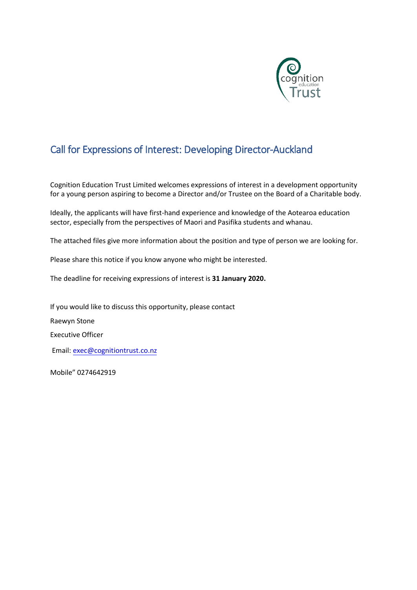

# Call for Expressions of Interest: Developing Director-Auckland

Cognition Education Trust Limited welcomes expressions of interest in a development opportunity for a young person aspiring to become a Director and/or Trustee on the Board of a Charitable body.

Ideally, the applicants will have first-hand experience and knowledge of the Aotearoa education sector, especially from the perspectives of Maori and Pasifika students and whanau.

The attached files give more information about the position and type of person we are looking for.

Please share this notice if you know anyone who might be interested.

The deadline for receiving expressions of interest is **31 January 2020.**

If you would like to discuss this opportunity, please contact Raewyn Stone Executive Officer Email: [exec@cognitiontrust.co.nz](mailto:exec@cognitiontrust.co.nz)

Mobile" 0274642919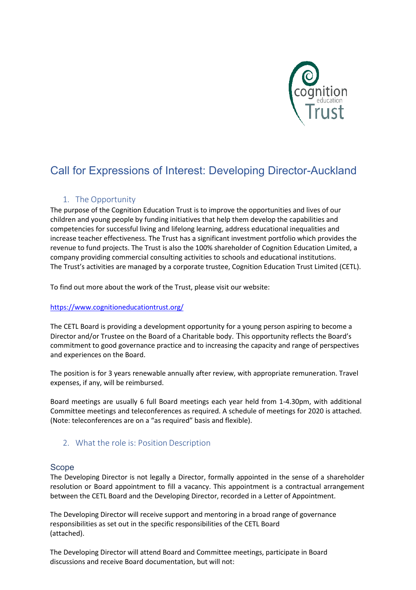

# Call for Expressions of Interest: Developing Director-Auckland

### 1. The Opportunity

The purpose of the Cognition Education Trust is to improve the opportunities and lives of our children and young people by funding initiatives that help them develop the capabilities and competencies for successful living and lifelong learning, address educational inequalities and increase teacher effectiveness. The Trust has a significant investment portfolio which provides the revenue to fund projects. The Trust is also the 100% shareholder of Cognition Education Limited, a company providing commercial consulting activities to schools and educational institutions. The Trust's activities are managed by a corporate trustee, Cognition Education Trust Limited (CETL).

[To find out more about the work of the T](https://www.cognitioneducationtrust.org/)rust, please visit our website:

#### [https://www.cognitioneducationtrust.org/](http://www.cognitioneducationtrust.org/)

The CETL Board is providing a development opportunity for a young person aspiring to become a Director and/or Trustee on the Board of a Charitable body. This opportunity reflects the Board's commitment to good governance practice and to increasing the capacity and range of perspectives and experiences on the Board.

The position is for 3 years renewable annually after review, with appropriate remuneration. Travel expenses, if any, will be reimbursed.

Board meetings are usually 6 full Board meetings each year held from 1-4.30pm, with additional Committee meetings and teleconferences as required. A schedule of meetings for 2020 is attached. (Note: teleconferences are on a "as required" basis and flexible).

#### 2. What the role is: Position Description

#### Scope

The Developing Director is not legally a Director, formally appointed in the sense of a shareholder resolution or Board appointment to fill a vacancy. This appointment is a contractual arrangement between the CETL Board and the Developing Director, recorded in a Letter of Appointment.

The Developing Director will receive support and mentoring in a broad range of governance responsibilities as set out in the specific responsibilities of the CETL Board (attached).

The Developing Director will attend Board and Committee meetings, participate in Board discussions and receive Board documentation, but will not: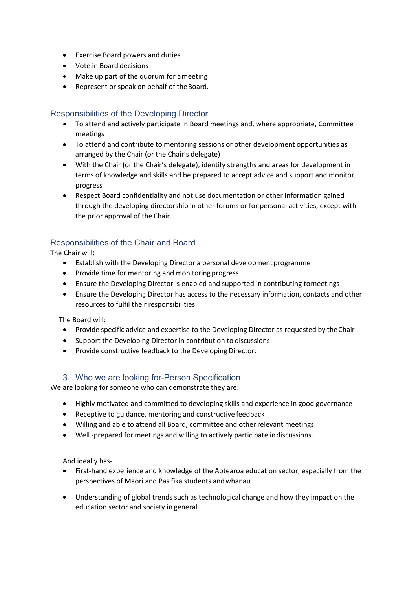- Exercise Board powers and duties
- Vote in Board decisions
- Make up part of the quorum for ameeting
- Represent or speak on behalf of the Board.

### Responsibilities of the Developing Director

- To attend and actively participate in Board meetings and, where appropriate, Committee meetings
- To attend and contribute to mentoring sessions or other development opportunities as arranged by the Chair (or the Chair's delegate)
- With the Chair (or the Chair's delegate), identify strengths and areas for development in terms of knowledge and skills and be prepared to accept advice and support and monitor progress
- Respect Board confidentiality and not use documentation or other information gained through the developing directorship in other forums or for personal activities, except with the prior approval of the Chair.

## Responsibilities of the Chair and Board

The Chair will:

- Establish with the Developing Director a personal development programme
- Provide time for mentoring and monitoring progress
- Ensure the Developing Director is enabled and supported in contributing tomeetings
- Ensure the Developing Director has access to the necessary information, contacts and other resources to fulfil their responsibilities.

The Board will:

- Provide specific advice and expertise to the Developing Director as requested by theChair
- Support the Developing Director in contribution to discussions
- Provide constructive feedback to the Developing Director.

#### 3. Who we are looking for-Person Specification

We are looking for someone who can demonstrate they are:

- Highly motivated and committed to developing skills and experience in good governance
- Receptive to guidance, mentoring and constructive feedback
- Willing and able to attend all Board, committee and other relevant meetings
- Well -prepared for meetings and willing to actively participate indiscussions.

And ideally has-

- First-hand experience and knowledge of the Aotearoa education sector, especially from the perspectives of Maori and Pasifika students andwhanau
- Understanding of global trends such as technological change and how they impact on the education sector and society in general.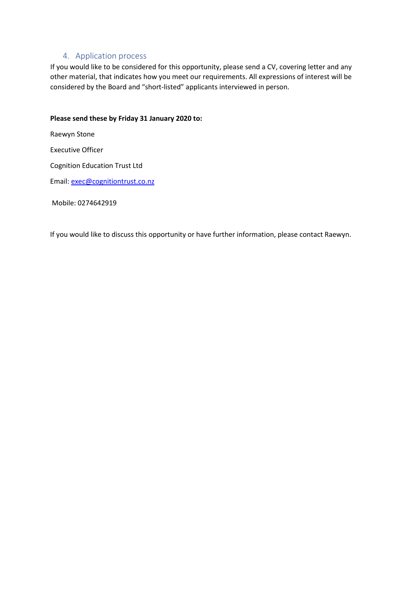#### 4. Application process

If you would like to be considered for this opportunity, please send a CV, covering letter and any other material, that indicates how you meet our requirements. All expressions of interest will be considered by the Board and "short-listed" applicants interviewed in person.

#### **Please send these by Friday 31 January 2020 to:**

Raewyn Stone

Executive Officer

Cognition Education Trust Ltd

Email[: exec@cognitiontrust.co.nz](mailto:exec@cognitiontrust.co.nz)

Mobile: 0274642919

If you would like to discuss this opportunity or have further information, please contact Raewyn.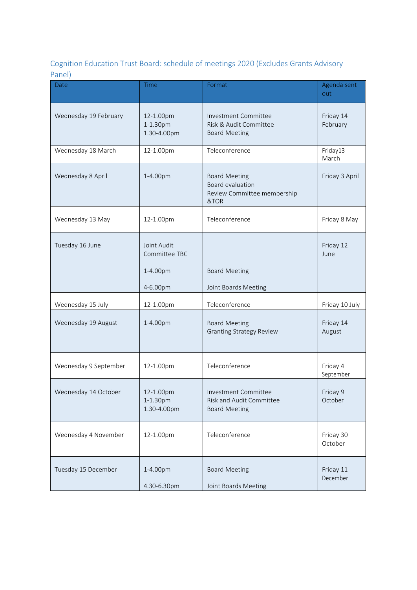## Cognition Education Trust Board: schedule of meetings 2020 (Excludes Grants Advisory Panel)

| Date                  | Time                                                 | Format                                                                          | Agenda sent<br>out    |
|-----------------------|------------------------------------------------------|---------------------------------------------------------------------------------|-----------------------|
| Wednesday 19 February | 12-1.00pm<br>1-1.30pm<br>1.30-4.00pm                 | Investment Committee<br>Risk & Audit Committee<br><b>Board Meeting</b>          | Friday 14<br>February |
| Wednesday 18 March    | 12-1.00pm                                            | Teleconference                                                                  | Friday13<br>March     |
| Wednesday 8 April     | 1-4.00pm                                             | <b>Board Meeting</b><br>Board evaluation<br>Review Committee membership<br>&TOR | Friday 3 April        |
| Wednesday 13 May      | 12-1.00pm                                            | Teleconference                                                                  | Friday 8 May          |
| Tuesday 16 June       | Joint Audit<br>Committee TBC<br>1-4.00pm<br>4-6.00pm | <b>Board Meeting</b><br>Joint Boards Meeting                                    | Friday 12<br>June     |
| Wednesday 15 July     | 12-1.00pm                                            | Teleconference                                                                  | Friday 10 July        |
| Wednesday 19 August   | 1-4.00pm                                             | <b>Board Meeting</b><br><b>Granting Strategy Review</b>                         | Friday 14<br>August   |
| Wednesday 9 September | 12-1.00pm                                            | Teleconference                                                                  | Friday 4<br>September |
| Wednesday 14 October  | 12-1.00pm<br>1-1.30pm<br>1.30-4.00pm                 | Investment Committee<br>Risk and Audit Committee<br><b>Board Meeting</b>        | Friday 9<br>October   |
| Wednesday 4 November  | 12-1.00pm                                            | Teleconference                                                                  | Friday 30<br>October  |
| Tuesday 15 December   | 1-4.00pm<br>4.30-6.30pm                              | <b>Board Meeting</b><br>Joint Boards Meeting                                    | Friday 11<br>December |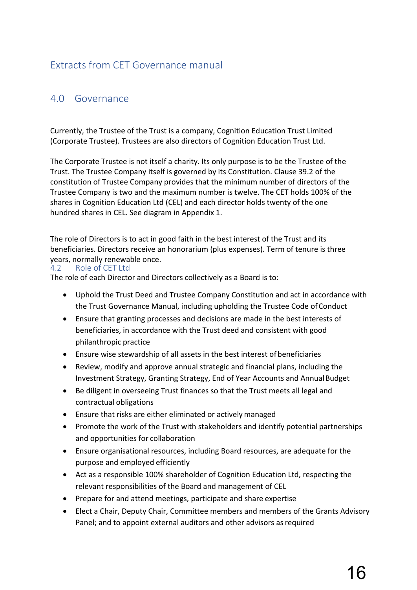## Extracts from CET Governance manual

## 4.0 Governance

Currently, the Trustee of the Trust is a company, Cognition Education Trust Limited (Corporate Trustee). Trustees are also directors of Cognition Education Trust Ltd.

The Corporate Trustee is not itself a charity. Its only purpose is to be the Trustee of the Trust. The Trustee Company itself is governed by its Constitution. Clause 39.2 of the constitution of Trustee Company provides that the minimum number of directors of the Trustee Company is two and the maximum number is twelve. The CET holds 100% of the shares in Cognition Education Ltd (CEL) and each director holds twenty of the one hundred shares in CEL. See diagram in Appendix 1.

The role of Directors is to act in good faith in the best interest of the Trust and its beneficiaries. Directors receive an honorarium (plus expenses). Term of tenure is three **years, normally renewable once.**<br>4.2 Role of CET Ltd

Role of CET Ltd

The role of each Director and Directors collectively as a Board is to:

- Uphold the Trust Deed and Trustee Company Constitution and act in accordance with the Trust Governance Manual, including upholding the Trustee Code of Conduct
- Ensure that granting processes and decisions are made in the best interests of beneficiaries, in accordance with the Trust deed and consistent with good philanthropic practice
- Ensure wise stewardship of all assets in the best interest of beneficiaries
- Review, modify and approve annual strategic and financial plans, including the Investment Strategy, Granting Strategy, End of Year Accounts and AnnualBudget
- Be diligent in overseeing Trust finances so that the Trust meets all legal and contractual obligations
- Ensure that risks are either eliminated or actively managed
- Promote the work of the Trust with stakeholders and identify potential partnerships and opportunities for collaboration
- Ensure organisational resources, including Board resources, are adequate for the purpose and employed efficiently
- Act as a responsible 100% shareholder of Cognition Education Ltd, respecting the relevant responsibilities of the Board and management of CEL
- Prepare for and attend meetings, participate and share expertise
- Elect a Chair, Deputy Chair, Committee members and members of the Grants Advisory Panel; and to appoint external auditors and other advisors as required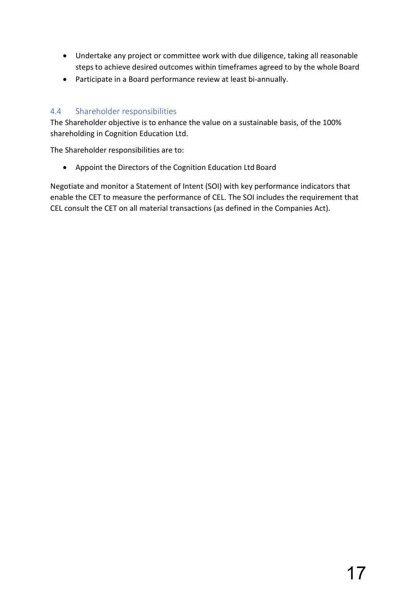- Undertake any project or committee work with due diligence, taking all reasonable steps to achieve desired outcomes within timeframes agreed to by the whole Board
- Participate in a Board performance review at least bi-annually.

## 4.4 Shareholder responsibilities

The Shareholder objective is to enhance the value on a sustainable basis, of the 100% shareholding in Cognition Education Ltd.

The Shareholder responsibilities are to:

• Appoint the Directors of the Cognition Education Ltd Board

Negotiate and monitor a Statement of Intent (SOI) with key performance indicators that enable the CET to measure the performance of CEL. The SOI includes the requirement that CEL consult the CET on all material transactions (as defined in the Companies Act).